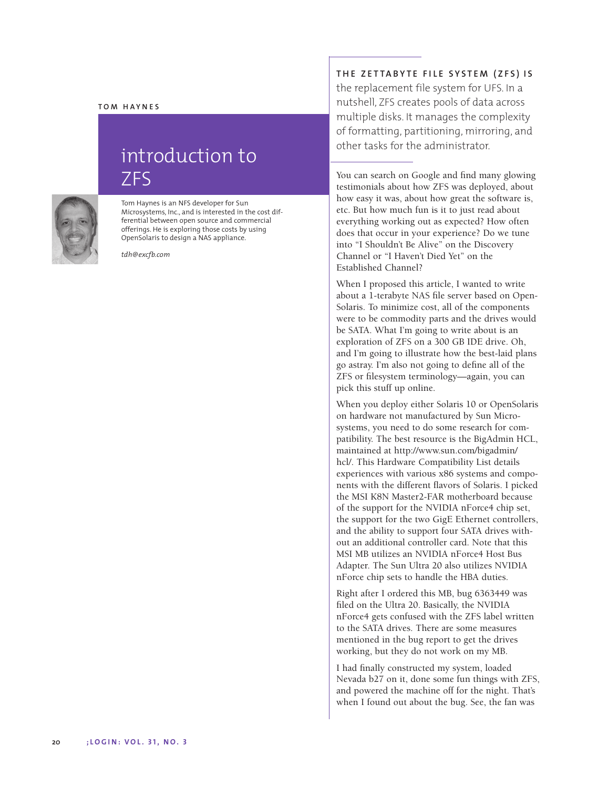## **TOM HAYNES**

## introduction to ZFS



Tom Haynes is an NFS developer for Sun Microsystems, Inc., and is interested in the cost differential between open source and commercial offerings. He is exploring those costs by using OpenSolaris to design a NAS appliance.

*tdh@excfb.com*

## **THE ZETTABYTE FILE SYSTEM (ZFS) IS**

the replacement file system for UFS. In a nutshell, ZFS creates pools of data across multiple disks. It manages the complexity of formatting, partitioning, mirroring, and other tasks for the administrator.

You can search on Google and find many glowing testimonials about how ZFS was deployed, about how easy it was, about how great the software is, etc. But how much fun is it to just read about everything working out as expected? How often does that occur in your experience? Do we tune into "I Shouldn't Be Alive" on the Discovery Channel or "I Haven't Died Yet" on the Established Channel?

When I proposed this article, I wanted to write about a 1-terabyte NAS file server based on Open-Solaris. To minimize cost, all of the components were to be commodity parts and the drives would be SATA. What I'm going to write about is an exploration of ZFS on a 300 GB IDE drive. Oh, and I'm going to illustrate how the best-laid plans go astray. I'm also not going to define all of the ZFS or filesystem terminology—again, you can pick this stuff up online.

When you deploy either Solaris 10 or OpenSolaris on hardware not manufactured by Sun Microsystems, you need to do some research for compatibility. The best resource is the BigAdmin HCL, maintained at http://www.sun.com/bigadmin/ hcl/. This Hardware Compatibility List details experiences with various x86 systems and components with the different flavors of Solaris. I picked the MSI K8N Master2-FAR motherboard because of the support for the NVIDIA nForce4 chip set, the support for the two GigE Ethernet controllers, and the ability to support four SATA drives without an additional controller card. Note that this MSI MB utilizes an NVIDIA nForce4 Host Bus Adapter. The Sun Ultra 20 also utilizes NVIDIA nForce chip sets to handle the HBA duties.

Right after I ordered this MB, bug 6363449 was filed on the Ultra 20. Basically, the NVIDIA nForce4 gets confused with the ZFS label written to the SATA drives. There are some measures mentioned in the bug report to get the drives working, but they do not work on my MB.

I had finally constructed my system, loaded Nevada b27 on it, done some fun things with ZFS, and powered the machine off for the night. That's when I found out about the bug. See, the fan was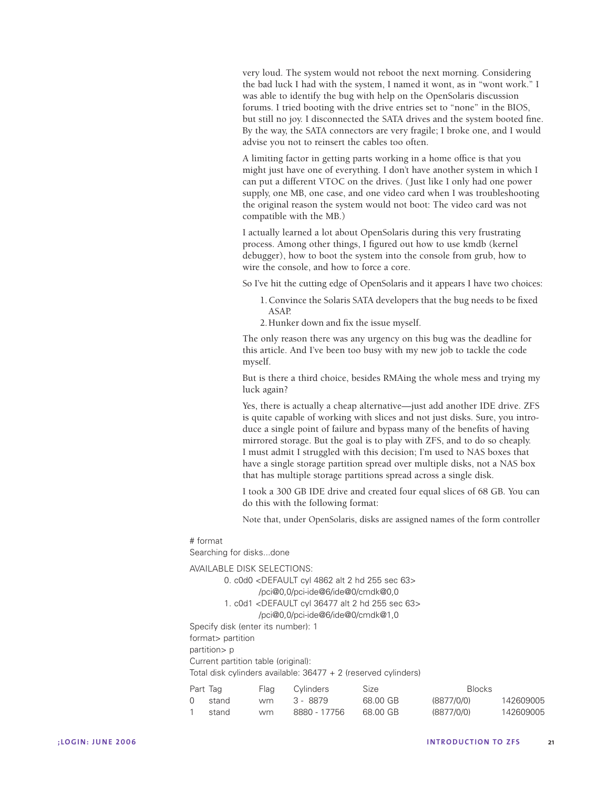very loud. The system would not reboot the next morning. Considering the bad luck I had with the system, I named it wont, as in "wont work." I was able to identify the bug with help on the OpenSolaris discussion forums. I tried booting with the drive entries set to "none" in the BIOS, but still no joy. I disconnected the SATA drives and the system booted fine. By the way, the SATA connectors are very fragile; I broke one, and I would advise you not to reinsert the cables too often.

A limiting factor in getting parts working in a home office is that you might just have one of everything. I don't have another system in which I can put a different VTOC on the drives. ( Just like I only had one power supply, one MB, one case, and one video card when I was troubleshooting the original reason the system would not boot: The video card was not compatible with the MB.)

I actually learned a lot about OpenSolaris during this very frustrating process. Among other things, I figured out how to use kmdb (kernel debugger), how to boot the system into the console from grub, how to wire the console, and how to force a core.

So I've hit the cutting edge of OpenSolaris and it appears I have two choices:

- 1.Convince the Solaris SATA developers that the bug needs to be fixed ASAP.
- 2.Hunker down and fix the issue myself.

The only reason there was any urgency on this bug was the deadline for this article. And I've been too busy with my new job to tackle the code myself.

But is there a third choice, besides RMAing the whole mess and trying my luck again?

Yes, there is actually a cheap alternative—just add another IDE drive. ZFS is quite capable of working with slices and not just disks. Sure, you introduce a single point of failure and bypass many of the benefits of having mirrored storage. But the goal is to play with ZFS, and to do so cheaply. I must admit I struggled with this decision; I'm used to NAS boxes that have a single storage partition spread over multiple disks, not a NAS box that has multiple storage partitions spread across a single disk.

I took a 300 GB IDE drive and created four equal slices of 68 GB. You can do this with the following format:

Note that, under OpenSolaris, disks are assigned names of the form controller

## # format

Searching for disks...done

AVAILABLE DISK SELECTIONS: 0. c0d0 <DEFAULT cyl 4862 alt 2 hd 255 sec 63> /pci@0,0/pci-ide@6/ide@0/cmdk@0,0 1. c0d1 <DEFAULT cyl 36477 alt 2 hd 255 sec 63> /pci@0,0/pci-ide@6/ide@0/cmdk@1,0 Specify disk (enter its number): 1 format> partition partition> p Current partition table (original): Total disk cylinders available: 36477 + 2 (reserved cylinders)

| Part Tag |       | Flag | Cylinders    | Size     | <b>Blocks</b> |           |
|----------|-------|------|--------------|----------|---------------|-----------|
|          | stand | wm   | 3 - 8879     | 68.00 GB | (8877/0/0)    | 142609005 |
|          | stand | wm.  | 8880 - 17756 | 68.00 GB | (8877/0/0)    | 142609005 |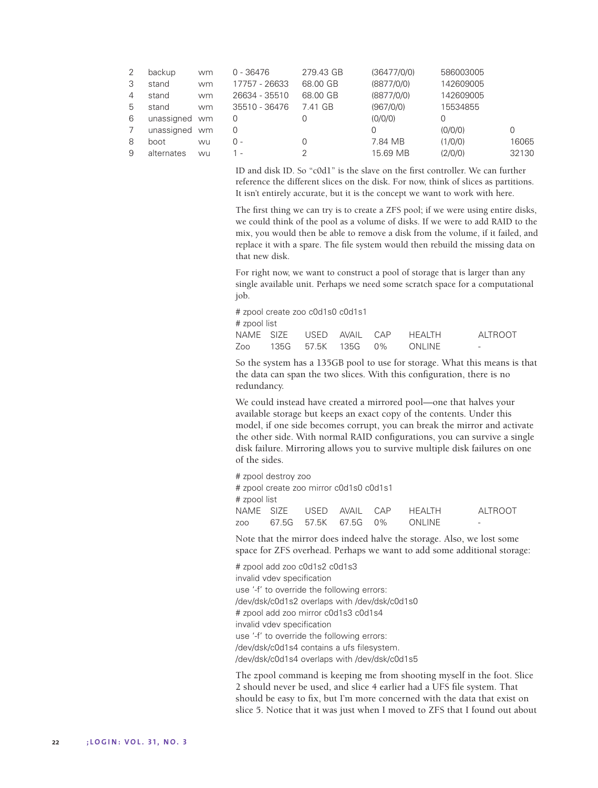|   | backup     | wm | $0 - 36476$   | 279.43 GB | (36477/0/0) | 586003005 |       |
|---|------------|----|---------------|-----------|-------------|-----------|-------|
| 3 | stand      | wm | 17757 - 26633 | 68.00 GB  | (8877/0/0)  | 142609005 |       |
| 4 | stand      | wm | 26634 - 35510 | 68.00 GB  | (8877/0/0)  | 142609005 |       |
| 5 | stand      | wm | 35510 - 36476 | 7.41 GB   | (967/0/0)   | 15534855  |       |
| 6 | unassigned | wm | 0             |           | (0/0/0)     | 0         |       |
|   | unassigned | wm | 0             |           |             | (0/0/0)   | 0     |
| 8 | boot       | wu | $0 -$         |           | 7.84 MB     | (1/0/0)   | 16065 |
| 9 | alternates | WU | 1 -           |           | 15.69 MB    | (2/0/0)   | 32130 |

ID and disk ID. So "c0d1" is the slave on the first controller. We can further reference the different slices on the disk. For now, think of slices as partitions. It isn't entirely accurate, but it is the concept we want to work with here.

The first thing we can try is to create a ZFS pool; if we were using entire disks, we could think of the pool as a volume of disks. If we were to add RAID to the mix, you would then be able to remove a disk from the volume, if it failed, and replace it with a spare. The file system would then rebuild the missing data on that new disk.

For right now, we want to construct a pool of storage that is larger than any single available unit. Perhaps we need some scratch space for a computational job.

# zpool create zoo c0d1s0 c0d1s1 # zpool list NAME SIZE USED AVAIL CAP HEALTH ALTROOT Zoo 135G 57.5K 135G 0% ONLINE -

So the system has a 135GB pool to use for storage. What this means is that the data can span the two slices. With this configuration, there is no redundancy.

We could instead have created a mirrored pool—one that halves your available storage but keeps an exact copy of the contents. Under this model, if one side becomes corrupt, you can break the mirror and activate the other side. With normal RAID configurations, you can survive a single disk failure. Mirroring allows you to survive multiple disk failures on one of the sides.

# zpool destroy zoo # zpool create zoo mirror c0d1s0 c0d1s1 # zpool list NAME SIZE USED AVAIL CAP HEALTH ALTROOT zoo 67.5G 57.5K 67.5G 0% ONLINE -

Note that the mirror does indeed halve the storage. Also, we lost some space for ZFS overhead. Perhaps we want to add some additional storage:

# zpool add zoo c0d1s2 c0d1s3 invalid vdev specification use '-f' to override the following errors: /dev/dsk/c0d1s2 overlaps with /dev/dsk/c0d1s0 # zpool add zoo mirror c0d1s3 c0d1s4 invalid vdev specification use '-f' to override the following errors: /dev/dsk/c0d1s4 contains a ufs filesystem. /dev/dsk/c0d1s4 overlaps with /dev/dsk/c0d1s5

The zpool command is keeping me from shooting myself in the foot. Slice 2 should never be used, and slice 4 earlier had a UFS file system. That should be easy to fix, but I'm more concerned with the data that exist on slice 5. Notice that it was just when I moved to ZFS that I found out about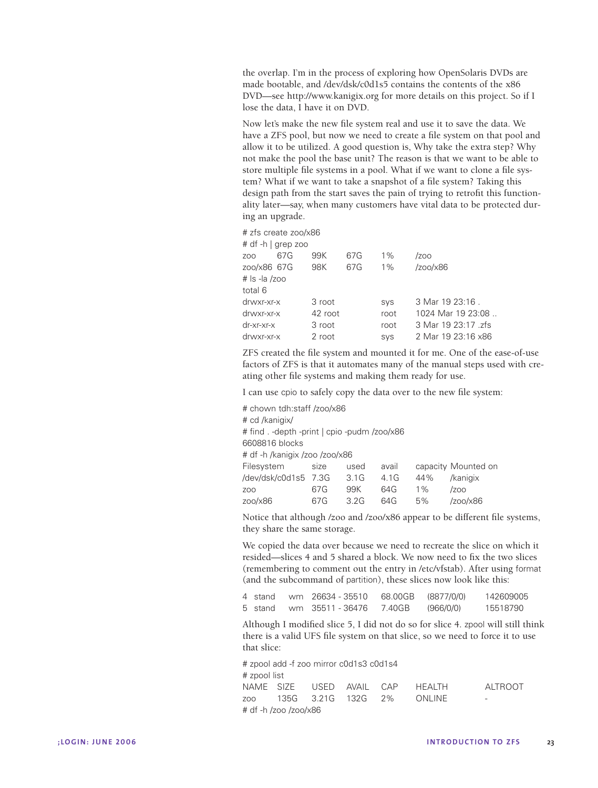the overlap. I'm in the process of exploring how OpenSolaris DVDs are made bootable, and /dev/dsk/c0d1s5 contains the contents of the x86 DVD—see http://www.kanigix.org for more details on this project. So if I lose the data, I have it on DVD.

Now let's make the new file system real and use it to save the data. We have a ZFS pool, but now we need to create a file system on that pool and allow it to be utilized. A good question is, Why take the extra step? Why not make the pool the base unit? The reason is that we want to be able to store multiple file systems in a pool. What if we want to clone a file system? What if we want to take a snapshot of a file system? Taking this design path from the start saves the pain of trying to retrofit this functionality later—say, when many customers have vital data to be protected during an upgrade.

# zfs create zoo/x86

|               | # df -h   grep zoo |         |     |       |                     |
|---------------|--------------------|---------|-----|-------|---------------------|
| ZOO           | 67G                | 99K     | 67G | $1\%$ | /zoo                |
| zoo/x86 67G   |                    | 98K     | 67G | $1\%$ | /200/x86            |
| # Is -la /zoo |                    |         |     |       |                     |
| total 6       |                    |         |     |       |                     |
| drwxr-xr-x    |                    | 3 root  |     | SVS   | 3 Mar 19 23:16.     |
| drwxr-xr-x    |                    | 42 root |     | root  | 1024 Mar 19 23:08   |
| dr-xr-xr-x    |                    | 3 root  |     | root  | 3 Mar 19 23:17 .zfs |
| drwxr-xr-x    |                    | 2 root  |     | SVS   | 2 Mar 19 23:16 x86  |

ZFS created the file system and mounted it for me. One of the ease-of-use factors of ZFS is that it automates many of the manual steps used with creating other file systems and making them ready for use.

I can use cpio to safely copy the data over to the new file system:

| # chown tdh:staff /zoo/x86                   |      |      |       |       |                     |  |  |
|----------------------------------------------|------|------|-------|-------|---------------------|--|--|
| # cd /kanigix/                               |      |      |       |       |                     |  |  |
| # find . -depth -print   cpio -pudm /zoo/x86 |      |      |       |       |                     |  |  |
| 6608816 blocks                               |      |      |       |       |                     |  |  |
| # df -h /kanigix /zoo /zoo/x86               |      |      |       |       |                     |  |  |
| Filesystem                                   | size | used | avail |       | capacity Mounted on |  |  |
| /dev/dsk/c0d1s5 7.3G                         |      | 3.1G | 4.1G  | 44%   | /kanigix            |  |  |
| ZO <sub>O</sub>                              | 67G  | 99K  | 64G   | $1\%$ | /zoo                |  |  |
| zoo/x86                                      | 67G  | 3.2G | 64G   | 5%    | /zoo/x86            |  |  |

Notice that although /zoo and /zoo/x86 appear to be different file systems, they share the same storage.

We copied the data over because we need to recreate the slice on which it resided—slices 4 and 5 shared a block. We now need to fix the two slices (remembering to comment out the entry in /etc/vfstab). After using format (and the subcommand of partition), these slices now look like this:

| 4 stand | wm 26634 - 35510 | 68.00GB (8877/0/0) |           | 142609005 |
|---------|------------------|--------------------|-----------|-----------|
| 5 stand | wm 35511 - 36476 | 7.40GB             | (966/0/0) | 15518790  |

Although I modified slice 5, I did not do so for slice 4. zpool will still think there is a valid UFS file system on that slice, so we need to force it to use that slice:

| # zpool add -f zoo mirror c0d1s3 c0d1s4 |  |  |  |  |                                 |         |  |  |
|-----------------------------------------|--|--|--|--|---------------------------------|---------|--|--|
| # zpool list                            |  |  |  |  |                                 |         |  |  |
|                                         |  |  |  |  | NAME SIZE USED AVAIL CAP HEALTH | ALTROOT |  |  |
|                                         |  |  |  |  | zoo 135G 3.21G 132G 2% ONLINE   | -       |  |  |
| # df -h /zoo /zoo/x86                   |  |  |  |  |                                 |         |  |  |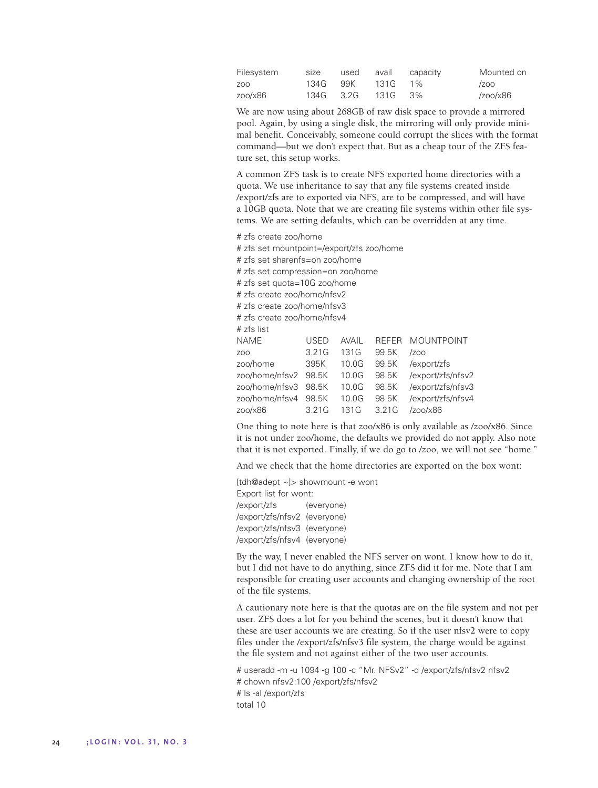| Filesystem |  |                   | size used avail capacity | Mounted on |
|------------|--|-------------------|--------------------------|------------|
| ZOO        |  | 134G 99K 131G 1%  |                          | /zoo       |
| zoo/x86    |  | 134G 3.2G 131G 3% |                          | /zoo/x86   |

We are now using about 268GB of raw disk space to provide a mirrored pool. Again, by using a single disk, the mirroring will only provide minimal benefit. Conceivably, someone could corrupt the slices with the format command—but we don't expect that. But as a cheap tour of the ZFS feature set, this setup works.

A common ZFS task is to create NFS exported home directories with a quota. We use inheritance to say that any file systems created inside /export/zfs are to exported via NFS, are to be compressed, and will have a 10GB quota. Note that we are creating file systems within other file systems. We are setting defaults, which can be overridden at any time.

# zfs create zoo/home

# zfs set mountpoint=/export/zfs zoo/home # zfs set sharenfs=on zoo/home # zfs set compression=on zoo/home # zfs set quota=10G zoo/home # zfs create zoo/home/nfsv2 # zfs create zoo/home/nfsv3 # zfs create zoo/home/nfsv4 # zfs list NAME USED AVAIL REFER MOUNTPOINT zoo 3.21G 131G 99.5K /zoo zoo/home 395K 10.0G 99.5K /export/zfs zoo/home/nfsv2 98.5K 10.0G 98.5K /export/zfs/nfsv2 zoo/home/nfsv3 98.5K 10.0G 98.5K /export/zfs/nfsv3 zoo/home/nfsv4 98.5K 10.0G 98.5K /export/zfs/nfsv4 zoo/x86 3.21G 131G 3.21G /zoo/x86

One thing to note here is that zoo/x86 is only available as /zoo/x86. Since it is not under zoo/home, the defaults we provided do not apply. Also note that it is not exported. Finally, if we do go to /zoo, we will not see "home."

And we check that the home directories are exported on the box wont:

[tdh@adept ~]> showmount -e wont Export list for wont: /export/zfs (everyone) /export/zfs/nfsv2 (everyone) /export/zfs/nfsv3 (everyone) /export/zfs/nfsv4 (everyone)

By the way, I never enabled the NFS server on wont. I know how to do it, but I did not have to do anything, since ZFS did it for me. Note that I am responsible for creating user accounts and changing ownership of the root of the file systems.

A cautionary note here is that the quotas are on the file system and not per user. ZFS does a lot for you behind the scenes, but it doesn't know that these are user accounts we are creating. So if the user nfsv2 were to copy files under the /export/zfs/nfsv3 file system, the charge would be against the file system and not against either of the two user accounts.

# useradd -m -u 1094 -g 100 -c "Mr. NFSv2" -d /export/zfs/nfsv2 nfsv2 # chown nfsv2:100 /export/zfs/nfsv2 # ls -al /export/zfs total 10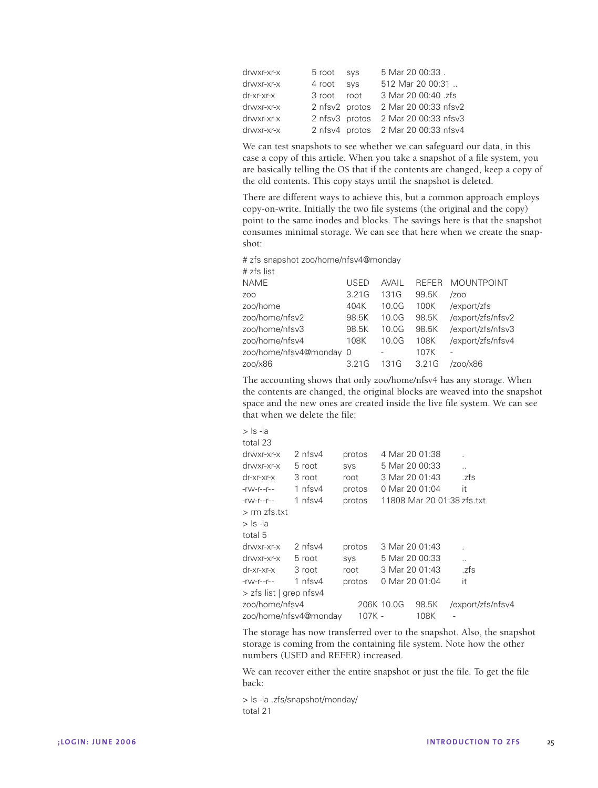| 5 Mar 20 00:33.<br>drwxr-xr-x<br>5 root sys       |  |
|---------------------------------------------------|--|
| 512 Mar 20 00:31<br>4 root sys<br>drwxr-xr-x      |  |
| 3 Mar 20 00:40 .zfs<br>dr-xr-xr-x<br>3 root root  |  |
| 2 nfsv2 protos 2 Mar 20 00:33 nfsv2<br>drwxr-xr-x |  |
| 2 nfsv3 protos 2 Mar 20 00:33 nfsv3<br>drwxr-xr-x |  |
| 2 nfsv4 protos 2 Mar 20 00:33 nfsv4<br>drwxr-xr-x |  |

We can test snapshots to see whether we can safeguard our data, in this case a copy of this article. When you take a snapshot of a file system, you are basically telling the OS that if the contents are changed, keep a copy of the old contents. This copy stays until the snapshot is deleted.

There are different ways to achieve this, but a common approach employs copy-on-write. Initially the two file systems (the original and the copy) point to the same inodes and blocks. The savings here is that the snapshot consumes minimal storage. We can see that here when we create the snapshot:

# zfs snapshot zoo/home/nfsv4@monday

| # zfs list              |       |       |              |                   |
|-------------------------|-------|-------|--------------|-------------------|
| <b>NAME</b>             | USED  | AVAII | <b>REFER</b> | <b>MOUNTPOINT</b> |
| ZO <sub>O</sub>         | 3.21G | 131 G | 99.5K        | /zoo              |
| zoo/home                | 404K  | 10.0G | 100K         | /export/zfs       |
| zoo/home/nfsv2          | 98.5K | 10.0G | 98.5K        | /export/zfs/nfsv2 |
| zoo/home/nfsv3          | 98.5K | 10.0G | 98.5K        | /export/zfs/nfsv3 |
| zoo/home/nfsv4          | 108K  | 10.0G | 108K         | /export/zfs/nfsv4 |
| zoo/home/nfsv4@monday 0 |       |       | 107K         |                   |
| 200/x86                 | 3.21G | 131G  | 3.21G        | /zoo/x86          |
|                         |       |       |              |                   |

The accounting shows that only zoo/home/nfsv4 has any storage. When the contents are changed, the original blocks are weaved into the snapshot space and the new ones are created inside the live file system. We can see that when we delete the file:

| $>$ Is -la                 |                       |        |          |            |                            |                      |
|----------------------------|-----------------------|--------|----------|------------|----------------------------|----------------------|
| total 23                   |                       |        |          |            |                            |                      |
| drwxr-xr-x                 | $2$ nfsv4             | protos |          |            | 4 Mar 20 01:38             |                      |
| drwxr-xr-x                 | 5 root                | SVS    |          |            | 5 Mar 20 00:33             | $\ddot{\phantom{a}}$ |
| $dr - xr - xr -x$          | 3 root                | root   |          |            | 3 Mar 20 01:43             | .zfs                 |
| $-1$ - T - $-1$ - T - $-1$ | 1 $nfsv4$             | protos |          |            | 0 Mar 20 01:04             | it                   |
| $-YW-T--T--$               | 1 nfsv4               | protos |          |            | 11808 Mar 20 01:38 zfs.txt |                      |
| $>$ rm zfs.txt             |                       |        |          |            |                            |                      |
| $>$ Is -la                 |                       |        |          |            |                            |                      |
| total 5                    |                       |        |          |            |                            |                      |
| drwxr-xr-x                 | 2 nfsv4               | protos |          |            | 3 Mar 20 01:43             |                      |
| drwxr-xr-x                 | 5 root                | SVS    |          |            | 5 Mar 20 00:33             |                      |
| $dr$ -xr-xr-x              | 3 root                | root   |          |            | 3 Mar 20 01:43             | .zfs                 |
| $-1$ - T - $-1$ - $-1$     | 1 nfsv4               | protos |          |            | 0 Mar 20 01:04             | it                   |
| > zfs list   grep nfsv4    |                       |        |          |            |                            |                      |
| zoo/home/nfsv4             |                       |        |          | 206K 10.0G | 98.5K                      | /export/zfs/nfsv4    |
|                            | zoo/home/nfsv4@monday |        | $107K -$ |            | 108K                       |                      |

The storage has now transferred over to the snapshot. Also, the snapshot storage is coming from the containing file system. Note how the other numbers (USED and REFER) increased.

We can recover either the entire snapshot or just the file. To get the file back:

> ls -la .zfs/snapshot/monday/ total 21